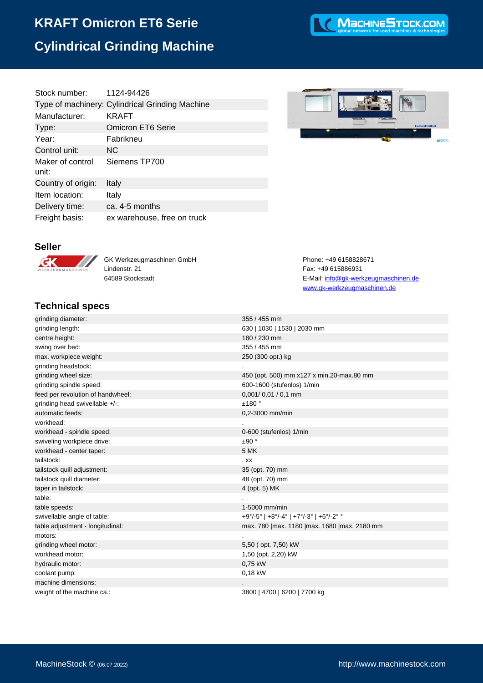# **KRAFT Omicron ET6 Serie Cylindrical Grinding Machine**

| Stock number:             | 1124-94426                                      |
|---------------------------|-------------------------------------------------|
|                           | Type of machinery: Cylindrical Grinding Machine |
| Manufacturer:             | <b>KRAFT</b>                                    |
| Type:                     | <b>Omicron ET6 Serie</b>                        |
| Year:                     | Fabrikneu                                       |
| Control unit:             | NС                                              |
| Maker of control<br>unit: | Siemens TP700                                   |
| Country of origin:        | Italy                                           |
| Item location:            | Italy                                           |
| Delivery time:            | ca. 4-5 months                                  |
| Freight basis:            | ex warehouse, free on truck                     |

MacHINESTOCK.COM



GK Werkzeugmaschinen GmbH Phone: +49 6158828671 Lindenstr. 21 Fax: +49 615886931

### **Technical specs**

| TANITING APARA                    |                                                 |
|-----------------------------------|-------------------------------------------------|
| grinding diameter:                | 355 / 455 mm                                    |
| grinding length:                  | 630   1030   1530   2030 mm                     |
| centre height:                    | 180 / 230 mm                                    |
| swing over bed:                   | 355 / 455 mm                                    |
| max. workpiece weight:            | 250 (300 opt.) kg                               |
| grinding headstock:               |                                                 |
| grinding wheel size:              | 450 (opt. 500) mm x127 x min.20-max.80 mm       |
| grinding spindle speed:           | 600-1600 (stufenlos) 1/min                      |
| feed per revolution of handwheel: | $0,001/0,01/0,1$ mm                             |
| grinding head swivellable +/-:    | ±180°                                           |
| automatic feeds:                  | 0,2-3000 mm/min                                 |
| workhead:                         |                                                 |
| workhead - spindle speed:         | 0-600 (stufenlos) 1/min                         |
| swiveling workpiece drive:        | ±90°                                            |
| workhead - center taper:          | 5 MK                                            |
| tailstock:                        | . <sub>XX</sub>                                 |
| tailstock quill adjustment:       | 35 (opt. 70) mm                                 |
| tailstock quill diameter:         | 48 (opt. 70) mm                                 |
| taper in tailstock:               | 4 (opt. 5) MK                                   |
| table:                            |                                                 |
| table speeds:                     | 1-5000 mm/min                                   |
| swivellable angle of table:       | +9°/-5°   +8°/-4°   +7°/-3°   +6°/-2° °         |
| table adjustment - longitudinal:  | max. 780   max. 1180   max. 1680   max. 2180 mm |
| motors:                           |                                                 |
| grinding wheel motor:             | 5,50 ( opt. 7,50) kW                            |
| workhead motor:                   | 1,50 (opt. 2,20) kW                             |
| hydraulic motor:                  | 0,75 kW                                         |
| coolant pump:                     | 0,18 kW                                         |

machine dimensions: .

64589 Stockstadt E-Mail: [info@gk-werkzeugmaschinen.de](mailto:info@gk-werkzeugmaschinen.de) www.gk-werkzeugmaschinen.de

weight of the machine ca.: 3800 | 4700 | 6200 | 7700 kg